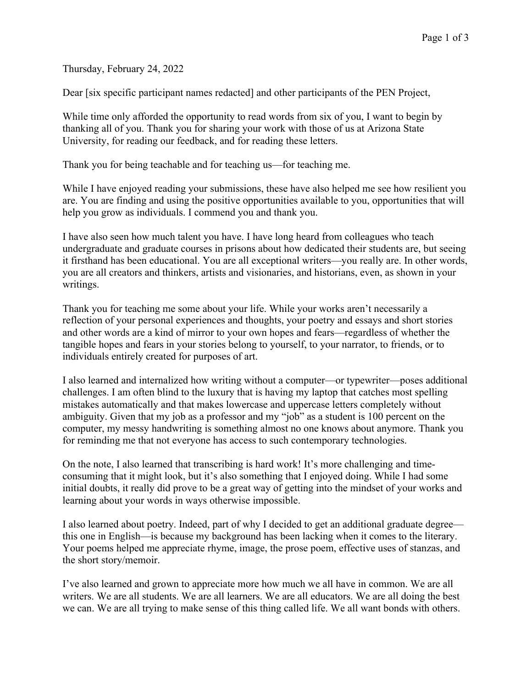Thursday, February 24, 2022

Dear [six specific participant names redacted] and other participants of the PEN Project,

While time only afforded the opportunity to read words from six of you, I want to begin by thanking all of you. Thank you for sharing your work with those of us at Arizona State University, for reading our feedback, and for reading these letters.

Thank you for being teachable and for teaching us—for teaching me.

While I have enjoyed reading your submissions, these have also helped me see how resilient you are. You are finding and using the positive opportunities available to you, opportunities that will help you grow as individuals. I commend you and thank you.

I have also seen how much talent you have. I have long heard from colleagues who teach undergraduate and graduate courses in prisons about how dedicated their students are, but seeing it firsthand has been educational. You are all exceptional writers—you really are. In other words, you are all creators and thinkers, artists and visionaries, and historians, even, as shown in your writings.

Thank you for teaching me some about your life. While your works aren't necessarily a reflection of your personal experiences and thoughts, your poetry and essays and short stories and other words are a kind of mirror to your own hopes and fears—regardless of whether the tangible hopes and fears in your stories belong to yourself, to your narrator, to friends, or to individuals entirely created for purposes of art.

I also learned and internalized how writing without a computer—or typewriter—poses additional challenges. I am often blind to the luxury that is having my laptop that catches most spelling mistakes automatically and that makes lowercase and uppercase letters completely without ambiguity. Given that my job as a professor and my "job" as a student is 100 percent on the computer, my messy handwriting is something almost no one knows about anymore. Thank you for reminding me that not everyone has access to such contemporary technologies.

On the note, I also learned that transcribing is hard work! It's more challenging and timeconsuming that it might look, but it's also something that I enjoyed doing. While I had some initial doubts, it really did prove to be a great way of getting into the mindset of your works and learning about your words in ways otherwise impossible.

I also learned about poetry. Indeed, part of why I decided to get an additional graduate degree this one in English—is because my background has been lacking when it comes to the literary. Your poems helped me appreciate rhyme, image, the prose poem, effective uses of stanzas, and the short story/memoir.

I've also learned and grown to appreciate more how much we all have in common. We are all writers. We are all students. We are all learners. We are all educators. We are all doing the best we can. We are all trying to make sense of this thing called life. We all want bonds with others.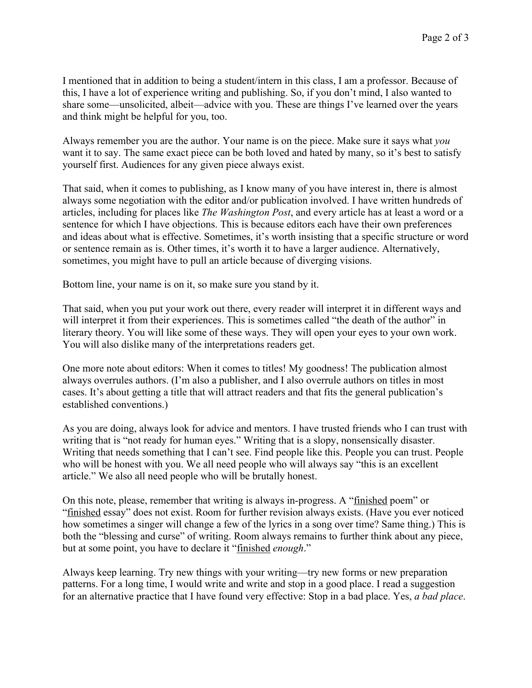I mentioned that in addition to being a student/intern in this class, I am a professor. Because of this, I have a lot of experience writing and publishing. So, if you don't mind, I also wanted to share some—unsolicited, albeit—advice with you. These are things I've learned over the years and think might be helpful for you, too.

Always remember you are the author. Your name is on the piece. Make sure it says what *you* want it to say. The same exact piece can be both loved and hated by many, so it's best to satisfy yourself first. Audiences for any given piece always exist.

That said, when it comes to publishing, as I know many of you have interest in, there is almost always some negotiation with the editor and/or publication involved. I have written hundreds of articles, including for places like *The Washington Post*, and every article has at least a word or a sentence for which I have objections. This is because editors each have their own preferences and ideas about what is effective. Sometimes, it's worth insisting that a specific structure or word or sentence remain as is. Other times, it's worth it to have a larger audience. Alternatively, sometimes, you might have to pull an article because of diverging visions.

Bottom line, your name is on it, so make sure you stand by it.

That said, when you put your work out there, every reader will interpret it in different ways and will interpret it from their experiences. This is sometimes called "the death of the author" in literary theory. You will like some of these ways. They will open your eyes to your own work. You will also dislike many of the interpretations readers get.

One more note about editors: When it comes to titles! My goodness! The publication almost always overrules authors. (I'm also a publisher, and I also overrule authors on titles in most cases. It's about getting a title that will attract readers and that fits the general publication's established conventions.)

As you are doing, always look for advice and mentors. I have trusted friends who I can trust with writing that is "not ready for human eyes." Writing that is a slopy, nonsensically disaster. Writing that needs something that I can't see. Find people like this. People you can trust. People who will be honest with you. We all need people who will always say "this is an excellent article." We also all need people who will be brutally honest.

On this note, please, remember that writing is always in-progress. A "finished poem" or "finished essay" does not exist. Room for further revision always exists. (Have you ever noticed how sometimes a singer will change a few of the lyrics in a song over time? Same thing.) This is both the "blessing and curse" of writing. Room always remains to further think about any piece, but at some point, you have to declare it "finished *enough*."

Always keep learning. Try new things with your writing—try new forms or new preparation patterns. For a long time, I would write and write and stop in a good place. I read a suggestion for an alternative practice that I have found very effective: Stop in a bad place. Yes, *a bad place*.